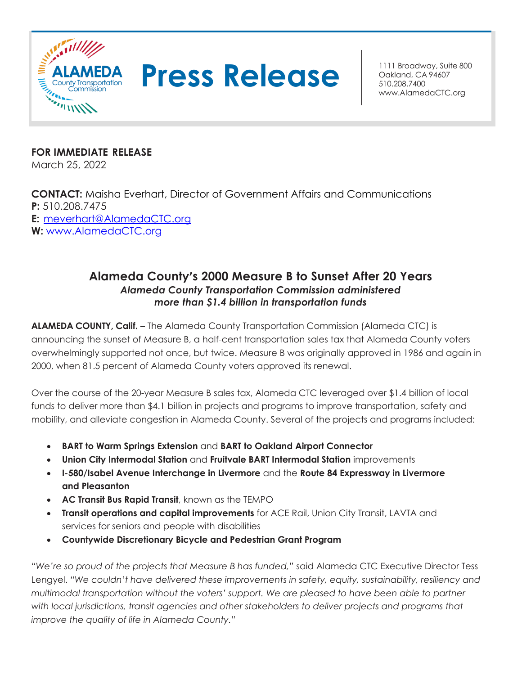



Oakland, CA 94607 510.208.7400 [www.AlamedaCTC.org](http://www.alamedactc.org/)

**FOR IMMEDIATE RELEASE** March 25, 2022

**CONTACT:** Maisha Everhart, Director of Government Affairs and Communications **P:** 510.208.7475 **E:** [meverhart@AlamedaCTC.org](mailto:meverhart@AlamedaCTC.org) **W:** [www.AlamedaCTC.org](http://www.alamedactc.org/)

## **Alameda County's 2000 Measure B to Sunset After 20 Years** *Alameda County Transportation Commission administered more than \$1.4 billion in transportation funds*

**ALAMEDA COUNTY, Calif.** – The Alameda County Transportation Commission (Alameda CTC) is announcing the sunset of Measure B, a half-cent transportation sales tax that Alameda County voters overwhelmingly supported not once, but twice. Measure B was originally approved in 1986 and again in 2000, when 81.5 percent of Alameda County voters approved its renewal.

Over the course of the 20-year Measure B sales tax, Alameda CTC leveraged over \$1.4 billion of local funds to deliver more than \$4.1 billion in projects and programs to improve transportation, safety and mobility, and alleviate congestion in Alameda County. Several of the projects and programs included:

- **BART to Warm Springs Extension** and **BART to Oakland Airport Connector**
- **Union City Intermodal Station** and **Fruitvale BART Intermodal Station** improvements
- **I-580/Isabel Avenue Interchange in Livermore** and the **Route 84 Expressway in Livermore and Pleasanton**
- **AC Transit Bus Rapid Transit**, known as the TEMPO
- **Transit operations and capital improvements** for ACE Rail, Union City Transit, LAVTA and services for seniors and people with disabilities
- **Countywide Discretionary Bicycle and Pedestrian Grant Program**

*"We're so proud of the projects that Measure B has funded,"* said Alameda CTC Executive Director Tess Lengyel. *"We couldn't have delivered these improvements in safety, equity, sustainability, resiliency and multimodal transportation without the voters' support. We are pleased to have been able to partner*  with local jurisdictions, transit agencies and other stakeholders to deliver projects and programs that *improve the quality of life in Alameda County."*